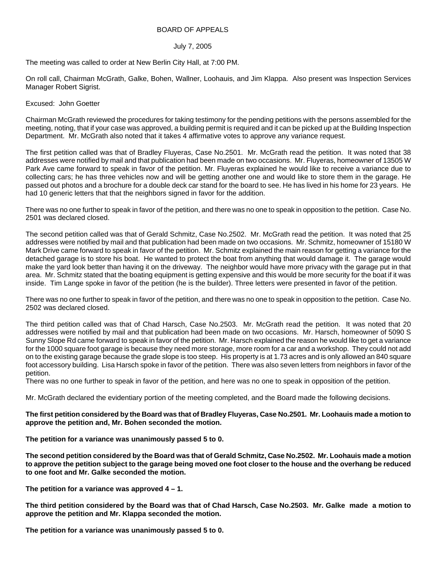## BOARD OF APPEALS

## July 7, 2005

The meeting was called to order at New Berlin City Hall, at 7:00 PM.

On roll call, Chairman McGrath, Galke, Bohen, Wallner, Loohauis, and Jim Klappa. Also present was Inspection Services Manager Robert Sigrist.

## Excused: John Goetter

Chairman McGrath reviewed the procedures for taking testimony for the pending petitions with the persons assembled for the meeting, noting, that if your case was approved, a building permit is required and it can be picked up at the Building Inspection Department. Mr. McGrath also noted that it takes 4 affirmative votes to approve any variance request.

The first petition called was that of Bradley Fluyeras, Case No.2501. Mr. McGrath read the petition. It was noted that 38 addresses were notified by mail and that publication had been made on two occasions. Mr. Fluyeras, homeowner of 13505 W Park Ave came forward to speak in favor of the petition. Mr. Fluyeras explained he would like to receive a variance due to collecting cars; he has three vehicles now and will be getting another one and would like to store them in the garage. He passed out photos and a brochure for a double deck car stand for the board to see. He has lived in his home for 23 years. He had 10 generic letters that that the neighbors signed in favor for the addition.

There was no one further to speak in favor of the petition, and there was no one to speak in opposition to the petition. Case No. 2501 was declared closed.

The second petition called was that of Gerald Schmitz, Case No.2502. Mr. McGrath read the petition. It was noted that 25 addresses were notified by mail and that publication had been made on two occasions. Mr. Schmitz, homeowner of 15180 W Mark Drive came forward to speak in favor of the petition. Mr. Schmitz explained the main reason for getting a variance for the detached garage is to store his boat. He wanted to protect the boat from anything that would damage it. The garage would make the yard look better than having it on the driveway. The neighbor would have more privacy with the garage put in that area. Mr. Schmitz stated that the boating equipment is getting expensive and this would be more security for the boat if it was inside. Tim Lange spoke in favor of the petition (he is the builder). Three letters were presented in favor of the petition.

There was no one further to speak in favor of the petition, and there was no one to speak in opposition to the petition. Case No. 2502 was declared closed.

The third petition called was that of Chad Harsch, Case No.2503. Mr. McGrath read the petition. It was noted that 20 addresses were notified by mail and that publication had been made on two occasions. Mr. Harsch, homeowner of 5090 S Sunny Slope Rd came forward to speak in favor of the petition. Mr. Harsch explained the reason he would like to get a variance for the 1000 square foot garage is because they need more storage, more room for a car and a workshop. They could not add on to the existing garage because the grade slope is too steep. His property is at 1.73 acres and is only allowed an 840 square foot accessory building. Lisa Harsch spoke in favor of the petition. There was also seven letters from neighbors in favor of the petition.

There was no one further to speak in favor of the petition, and here was no one to speak in opposition of the petition.

Mr. McGrath declared the evidentiary portion of the meeting completed, and the Board made the following decisions.

## **The first petition considered by the Board was that of Bradley Fluyeras, Case No.2501. Mr. Loohauis made a motion to approve the petition and, Mr. Bohen seconded the motion.**

**The petition for a variance was unanimously passed 5 to 0.** 

**The second petition considered by the Board was that of Gerald Schmitz, Case No.2502. Mr. Loohauis made a motion to approve the petition subject to the garage being moved one foot closer to the house and the overhang be reduced to one foot and Mr. Galke seconded the motion.** 

**The petition for a variance was approved 4 – 1.** 

**The third petition considered by the Board was that of Chad Harsch, Case No.2503. Mr. Galke made a motion to approve the petition and Mr. Klappa seconded the motion.** 

**The petition for a variance was unanimously passed 5 to 0.**